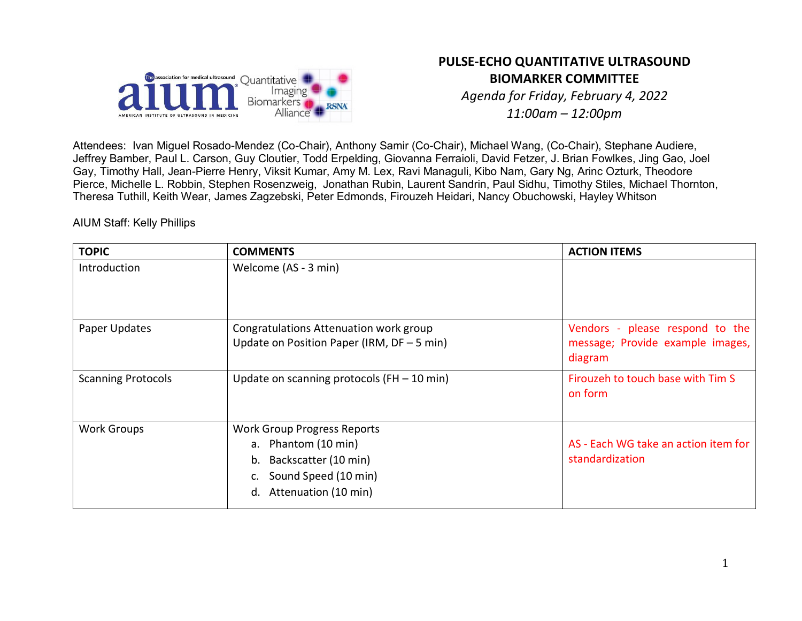

# **PULSE-ECHO QUANTITATIVE ULTRASOUND BIOMARKER COMMITTEE**

*Agenda for Friday, February 4, 2022 11:00am – 12:00pm*

Attendees: Ivan Miguel Rosado-Mendez (Co-Chair), Anthony Samir (Co-Chair), Michael Wang, (Co-Chair), Stephane Audiere, Jeffrey Bamber, Paul L. Carson, Guy Cloutier, Todd Erpelding, Giovanna Ferraioli, David Fetzer, J. Brian Fowlkes, Jing Gao, Joel Gay, Timothy Hall, Jean-Pierre Henry, Viksit Kumar, Amy M. Lex, Ravi Managuli, Kibo Nam, Gary Ng, Arinc Ozturk, Theodore Pierce, Michelle L. Robbin, Stephen Rosenzweig, Jonathan Rubin, Laurent Sandrin, Paul Sidhu, Timothy Stiles, Michael Thornton, Theresa Tuthill, Keith Wear, James Zagzebski, Peter Edmonds, Firouzeh Heidari, Nancy Obuchowski, Hayley Whitson

AIUM Staff: Kelly Phillips

| <b>TOPIC</b>              | <b>COMMENTS</b>                                                                                                                               | <b>ACTION ITEMS</b>                                                            |
|---------------------------|-----------------------------------------------------------------------------------------------------------------------------------------------|--------------------------------------------------------------------------------|
| Introduction              | Welcome (AS - 3 min)                                                                                                                          |                                                                                |
| Paper Updates             | Congratulations Attenuation work group<br>Update on Position Paper (IRM, $DF - 5$ min)                                                        | Vendors - please respond to the<br>message; Provide example images,<br>diagram |
| <b>Scanning Protocols</b> | Update on scanning protocols ( $FH - 10$ min)                                                                                                 | Firouzeh to touch base with Tim S<br>on form                                   |
| <b>Work Groups</b>        | <b>Work Group Progress Reports</b><br>a. Phantom (10 min)<br>Backscatter (10 min)<br>b.<br>Sound Speed (10 min)<br>Attenuation (10 min)<br>d. | AS - Each WG take an action item for<br>standardization                        |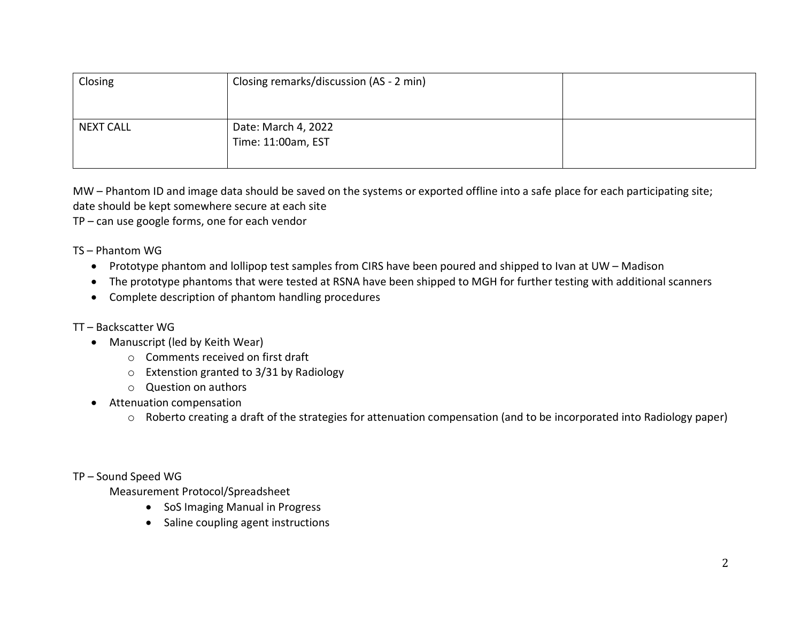| Closing          | Closing remarks/discussion (AS - 2 min)   |  |
|------------------|-------------------------------------------|--|
| <b>NEXT CALL</b> | Date: March 4, 2022<br>Time: 11:00am, EST |  |

MW – Phantom ID and image data should be saved on the systems or exported offline into a safe place for each participating site; date should be kept somewhere secure at each site

TP – can use google forms, one for each vendor

TS – Phantom WG

- Prototype phantom and lollipop test samples from CIRS have been poured and shipped to Ivan at UW Madison
- The prototype phantoms that were tested at RSNA have been shipped to MGH for further testing with additional scanners
- Complete description of phantom handling procedures

### TT – Backscatter WG

- Manuscript (led by Keith Wear)
	- o Comments received on first draft
	- o Extenstion granted to 3/31 by Radiology
	- o Question on authors
- Attenuation compensation
	- o Roberto creating a draft of the strategies for attenuation compensation (and to be incorporated into Radiology paper)

#### TP – Sound Speed WG

Measurement Protocol/Spreadsheet

- SoS Imaging Manual in Progress
- Saline coupling agent instructions